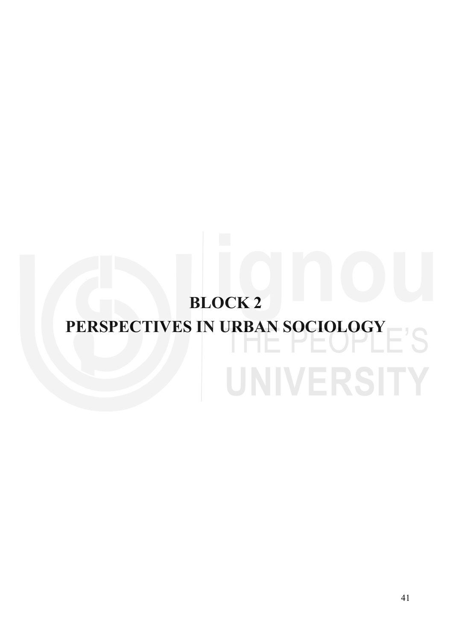# **BLOCK 2 PERSPECTIVES IN URBAN SOCIOLOGY** 'S UNIVERSITY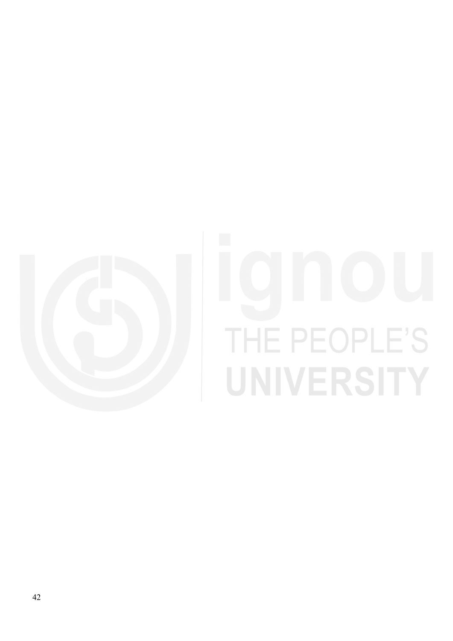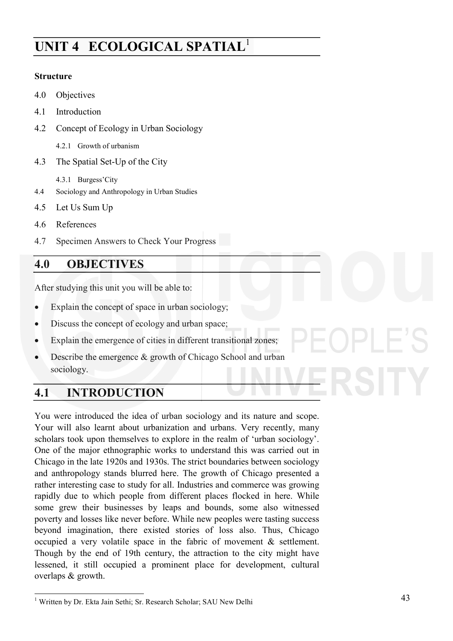# UNIT 4 ECOLOGICAL SPATIAL<sup>1</sup>

#### **Structure**

- 4.0 Objectives
- 4.1 Introduction
- 4.2 Concept of Ecology in Urban Sociology
	- 4.2.1 Growth of urbanism
- 4.3 The Spatial Set-Up of the City
	- 4.3.1 Burgess'City
- 4.4 Sociology and Anthropology in Urban Studies
- 4.5 Let Us Sum Up
- 4.6 References
- 4.7 Specimen Answers to Check Your Progress

# **4.0 OBJECTIVES**

After studying this unit you will be able to:

- Explain the concept of space in urban sociology;
- Discuss the concept of ecology and urban space;
- Explain the emergence of cities in different transitional zones;
- Describe the emergence  $\&$  growth of Chicago School and urban sociology.

# **4.1 INTRODUCTION**

You were introduced the idea of urban sociology and its nature and scope. Your will also learnt about urbanization and urbans. Very recently, many scholars took upon themselves to explore in the realm of 'urban sociology'. One of the major ethnographic works to understand this was carried out in Chicago in the late 1920s and 1930s. The strict boundaries between sociology and anthropology stands blurred here. The growth of Chicago presented a rather interesting case to study for all. Industries and commerce was growing rapidly due to which people from different places flocked in here. While some grew their businesses by leaps and bounds, some also witnessed poverty and losses like never before. While new peoples were tasting success beyond imagination, there existed stories of loss also. Thus, Chicago occupied a very volatile space in the fabric of movement & settlement. Though by the end of 19th century, the attraction to the city might have lessened, it still occupied a prominent place for development, cultural overlaps & growth.

 1 Written by Dr. Ekta Jain Sethi; Sr. Research Scholar; SAU New Delhi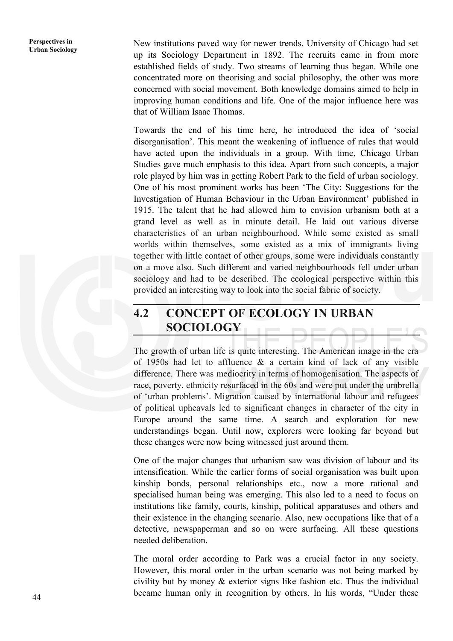New institutions paved way for newer trends. University of Chicago had set up its Sociology Department in 1892. The recruits came in from more established fields of study. Two streams of learning thus began. While one concentrated more on theorising and social philosophy, the other was more concerned with social movement. Both knowledge domains aimed to help in improving human conditions and life. One of the major influence here was that of William Isaac Thomas.

Towards the end of his time here, he introduced the idea of 'social disorganisation'. This meant the weakening of influence of rules that would have acted upon the individuals in a group. With time, Chicago Urban Studies gave much emphasis to this idea. Apart from such concepts, a major role played by him was in getting Robert Park to the field of urban sociology. One of his most prominent works has been 'The City: Suggestions for the Investigation of Human Behaviour in the Urban Environment' published in 1915. The talent that he had allowed him to envision urbanism both at a grand level as well as in minute detail. He laid out various diverse characteristics of an urban neighbourhood. While some existed as small worlds within themselves, some existed as a mix of immigrants living together with little contact of other groups, some were individuals constantly on a move also. Such different and varied neighbourhoods fell under urban sociology and had to be described. The ecological perspective within this provided an interesting way to look into the social fabric of society.

# **4.2 CONCEPT OF ECOLOGY IN URBAN SOCIOLOGY**

The growth of urban life is quite interesting. The American image in the era of 1950s had let to affluence & a certain kind of lack of any visible difference. There was mediocrity in terms of homogenisation. The aspects of race, poverty, ethnicity resurfaced in the 60s and were put under the umbrella of 'urban problems'. Migration caused by international labour and refugees of political upheavals led to significant changes in character of the city in Europe around the same time. A search and exploration for new understandings began. Until now, explorers were looking far beyond but these changes were now being witnessed just around them.

One of the major changes that urbanism saw was division of labour and its intensification. While the earlier forms of social organisation was built upon kinship bonds, personal relationships etc., now a more rational and specialised human being was emerging. This also led to a need to focus on institutions like family, courts, kinship, political apparatuses and others and their existence in the changing scenario. Also, new occupations like that of a detective, newspaperman and so on were surfacing. All these questions needed deliberation.

The moral order according to Park was a crucial factor in any society. However, this moral order in the urban scenario was not being marked by civility but by money  $\&$  exterior signs like fashion etc. Thus the individual became human only in recognition by others. In his words, "Under these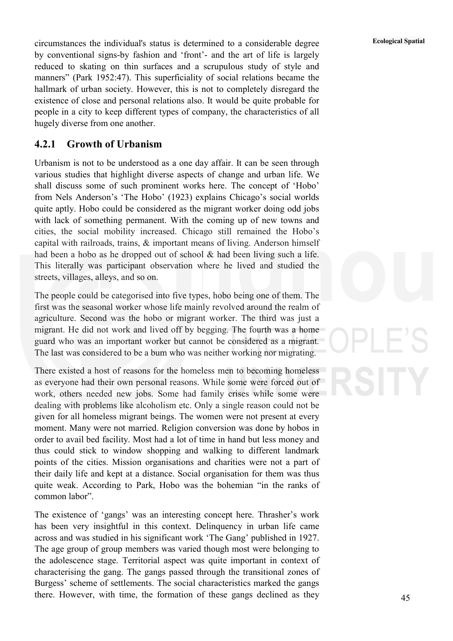circumstances the individual's status is determined to a considerable degree by conventional signs-by fashion and 'front'- and the art of life is largely reduced to skating on thin surfaces and a scrupulous study of style and manners" (Park 1952:47). This superficiality of social relations became the hallmark of urban society. However, this is not to completely disregard the existence of close and personal relations also. It would be quite probable for people in a city to keep different types of company, the characteristics of all hugely diverse from one another.

#### **4.2.1 Growth of Urbanism**

Urbanism is not to be understood as a one day affair. It can be seen through various studies that highlight diverse aspects of change and urban life. We shall discuss some of such prominent works here. The concept of 'Hobo' from Nels Anderson's 'The Hobo' (1923) explains Chicago's social worlds quite aptly. Hobo could be considered as the migrant worker doing odd jobs with lack of something permanent. With the coming up of new towns and cities, the social mobility increased. Chicago still remained the Hobo's capital with railroads, trains, & important means of living. Anderson himself had been a hobo as he dropped out of school & had been living such a life. This literally was participant observation where he lived and studied the streets, villages, alleys, and so on.

The people could be categorised into five types, hobo being one of them. The first was the seasonal worker whose life mainly revolved around the realm of agriculture. Second was the hobo or migrant worker. The third was just a migrant. He did not work and lived off by begging. The fourth was a home guard who was an important worker but cannot be considered as a migrant. The last was considered to be a bum who was neither working nor migrating.

There existed a host of reasons for the homeless men to becoming homeless as everyone had their own personal reasons. While some were forced out of work, others needed new jobs. Some had family crises while some were dealing with problems like alcoholism etc. Only a single reason could not be given for all homeless migrant beings. The women were not present at every moment. Many were not married. Religion conversion was done by hobos in order to avail bed facility. Most had a lot of time in hand but less money and thus could stick to window shopping and walking to different landmark points of the cities. Mission organisations and charities were not a part of their daily life and kept at a distance. Social organisation for them was thus quite weak. According to Park, Hobo was the bohemian "in the ranks of common labor".

The existence of 'gangs' was an interesting concept here. Thrasher's work has been very insightful in this context. Delinquency in urban life came across and was studied in his significant work 'The Gang' published in 1927. The age group of group members was varied though most were belonging to the adolescence stage. Territorial aspect was quite important in context of characterising the gang. The gangs passed through the transitional zones of Burgess' scheme of settlements. The social characteristics marked the gangs there. However, with time, the formation of these gangs declined as they

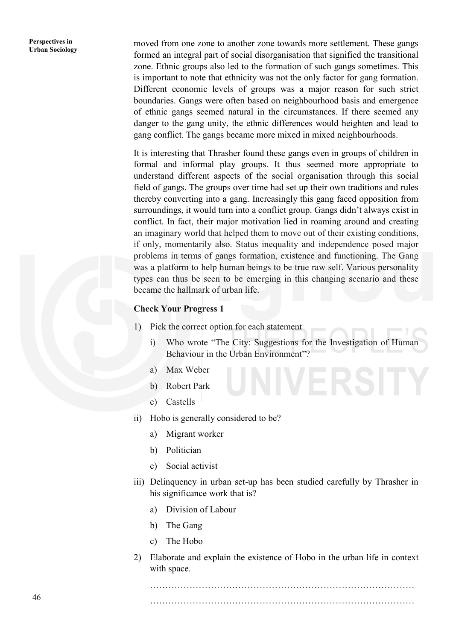moved from one zone to another zone towards more settlement. These gangs formed an integral part of social disorganisation that signified the transitional zone. Ethnic groups also led to the formation of such gangs sometimes. This is important to note that ethnicity was not the only factor for gang formation. Different economic levels of groups was a major reason for such strict boundaries. Gangs were often based on neighbourhood basis and emergence of ethnic gangs seemed natural in the circumstances. If there seemed any danger to the gang unity, the ethnic differences would heighten and lead to gang conflict. The gangs became more mixed in mixed neighbourhoods.

It is interesting that Thrasher found these gangs even in groups of children in formal and informal play groups. It thus seemed more appropriate to understand different aspects of the social organisation through this social field of gangs. The groups over time had set up their own traditions and rules thereby converting into a gang. Increasingly this gang faced opposition from surroundings, it would turn into a conflict group. Gangs didn't always exist in conflict. In fact, their major motivation lied in roaming around and creating an imaginary world that helped them to move out of their existing conditions, if only, momentarily also. Status inequality and independence posed major problems in terms of gangs formation, existence and functioning. The Gang was a platform to help human beings to be true raw self. Various personality types can thus be seen to be emerging in this changing scenario and these became the hallmark of urban life.

#### **Check Your Progress 1**

- 1) Pick the correct option for each statement
	- i) Who wrote "The City: Suggestions for the Investigation of Human Behaviour in the Urban Environment"?
	- a) Max Weber
	- b) Robert Park
	- c) Castells
- ii) Hobo is generally considered to be?
	- a) Migrant worker
	- b) Politician
	- c) Social activist
- iii) Delinquency in urban set-up has been studied carefully by Thrasher in his significance work that is?
	- a) Division of Labour
	- b) The Gang
	- c) The Hobo
- 2) Elaborate and explain the existence of Hobo in the urban life in context with space.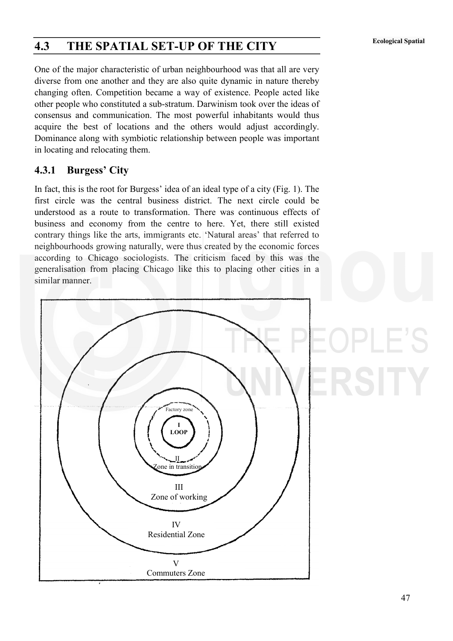# **4.3 THE SPATIAL SET-UP OF THE CITY**

One of the major characteristic of urban neighbourhood was that all are very diverse from one another and they are also quite dynamic in nature thereby changing often. Competition became a way of existence. People acted like other people who constituted a sub-stratum. Darwinism took over the ideas of consensus and communication. The most powerful inhabitants would thus acquire the best of locations and the others would adjust accordingly. Dominance along with symbiotic relationship between people was important in locating and relocating them.

## **4.3.1 Burgess' City**

In fact, this is the root for Burgess' idea of an ideal type of a city (Fig. 1). The first circle was the central business district. The next circle could be understood as a route to transformation. There was continuous effects of business and economy from the centre to here. Yet, there still existed contrary things like the arts, immigrants etc. 'Natural areas' that referred to neighbourhoods growing naturally, were thus created by the economic forces according to Chicago sociologists. The criticism faced by this was the generalisation from placing Chicago like this to placing other cities in a similar manner.

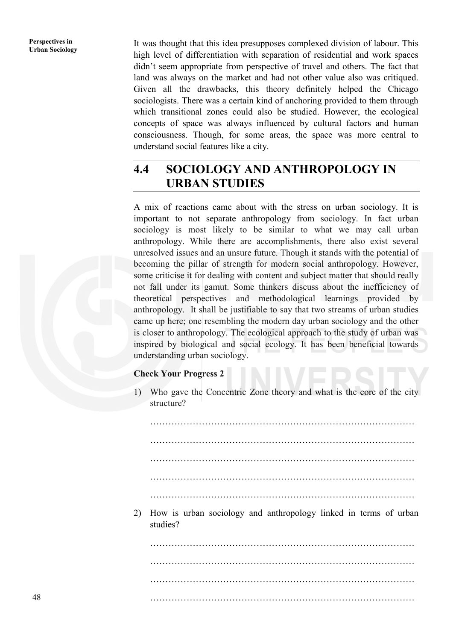It was thought that this idea presupposes complexed division of labour. This high level of differentiation with separation of residential and work spaces didn't seem appropriate from perspective of travel and others. The fact that land was always on the market and had not other value also was critiqued. Given all the drawbacks, this theory definitely helped the Chicago sociologists. There was a certain kind of anchoring provided to them through which transitional zones could also be studied. However, the ecological concepts of space was always influenced by cultural factors and human consciousness. Though, for some areas, the space was more central to understand social features like a city.

# **4.4 SOCIOLOGY AND ANTHROPOLOGY IN URBAN STUDIES**

A mix of reactions came about with the stress on urban sociology. It is important to not separate anthropology from sociology. In fact urban sociology is most likely to be similar to what we may call urban anthropology. While there are accomplishments, there also exist several unresolved issues and an unsure future. Though it stands with the potential of becoming the pillar of strength for modern social anthropology. However, some criticise it for dealing with content and subject matter that should really not fall under its gamut. Some thinkers discuss about the inefficiency of theoretical perspectives and methodological learnings provided by anthropology. It shall be justifiable to say that two streams of urban studies came up here; one resembling the modern day urban sociology and the other is closer to anthropology. The ecological approach to the study of urban was inspired by biological and social ecology. It has been beneficial towards understanding urban sociology.

#### **Check Your Progress 2**

1) Who gave the Concentric Zone theory and what is the core of the city structure?

 …………………………………………………………………………… …………………………………………………………………………… …………………………………………………………………………… …………………………………………………………………………… ……………………………………………………………………………

2) How is urban sociology and anthropology linked in terms of urban studies?

 …………………………………………………………………………… …………………………………………………………………………… …………………………………………………………………………… ……………………………………………………………………………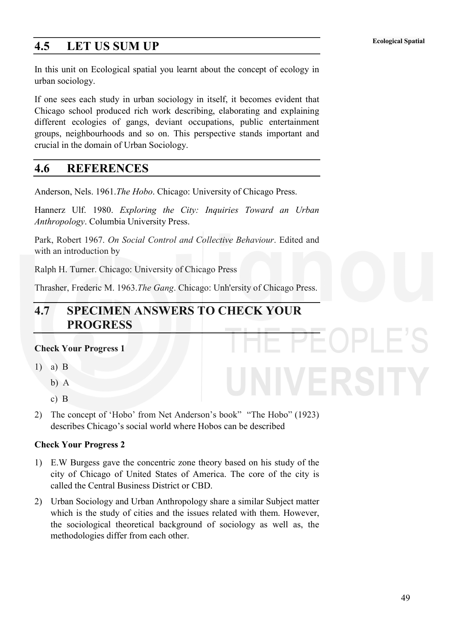# **4.5 LET US SUM UP**

In this unit on Ecological spatial you learnt about the concept of ecology in urban sociology.

If one sees each study in urban sociology in itself, it becomes evident that Chicago school produced rich work describing, elaborating and explaining different ecologies of gangs, deviant occupations, public entertainment groups, neighbourhoods and so on. This perspective stands important and crucial in the domain of Urban Sociology.

# **4.6 REFERENCES**

Anderson, Nels. 1961.*The Hobo*. Chicago: University of Chicago Press.

Hannerz Ulf. 1980. *Exploring the City: Inquiries Toward an Urban Anthropology*. Columbia University Press.

Park, Robert 1967. *On Social Control and Collective Behaviour*. Edited and with an introduction by

Ralph H. Turner. Chicago: University of Chicago Press

Thrasher, Frederic M. 1963.*The Gang*. Chicago: Unh'ersity of Chicago Press.

# **4.7 SPECIMEN ANSWERS TO CHECK YOUR PROGRESS**

#### **Check Your Progress 1**

1) a) B

b) A

- c) B
- 2) The concept of 'Hobo' from Net Anderson's book" "The Hobo" (1923) describes Chicago's social world where Hobos can be described

#### **Check Your Progress 2**

- 1) E.W Burgess gave the concentric zone theory based on his study of the city of Chicago of United States of America. The core of the city is called the Central Business District or CBD.
- 2) Urban Sociology and Urban Anthropology share a similar Subject matter which is the study of cities and the issues related with them. However, the sociological theoretical background of sociology as well as, the methodologies differ from each other.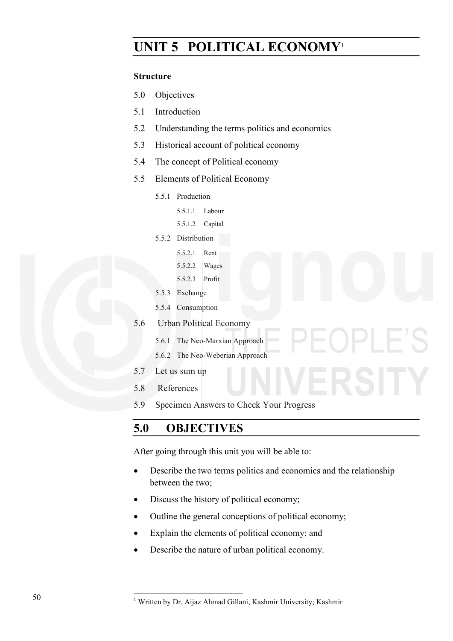# **UNIT 5 POLITICAL ECONOMY**<sup>1</sup>

#### **Structure**

- 5.0 Objectives
- 5.1 Introduction
- 5.2 Understanding the terms politics and economics
- 5.3 Historical account of political economy
- 5.4 The concept of Political economy
- 5.5 Elements of Political Economy
	- 5.5.1 Production
		- 5.5.1.1 Labour
		- 5.5.1.2 Capital
	- 5.5.2 Distribution
		- 5.5.2.1 Rent
		- 5.5.2.2 Wages
		- 5.5.2.3 Profit
	- 5.5.3 Exchange
	- 5.5.4 Consumption
- 5.6 Urban Political Economy
	- 5.6.1 The Neo-Marxian Approach
	- 5.6.2 The Neo-Weberian Approach
- 5.7 Let us sum up
- 5.8 References
- 5.9 Specimen Answers to Check Your Progress

# **5.0 OBJECTIVES**

After going through this unit you will be able to:

- Describe the two terms politics and economics and the relationship between the two;
- Discuss the history of political economy;
- Outline the general conceptions of political economy;
- Explain the elements of political economy; and
- Describe the nature of urban political economy.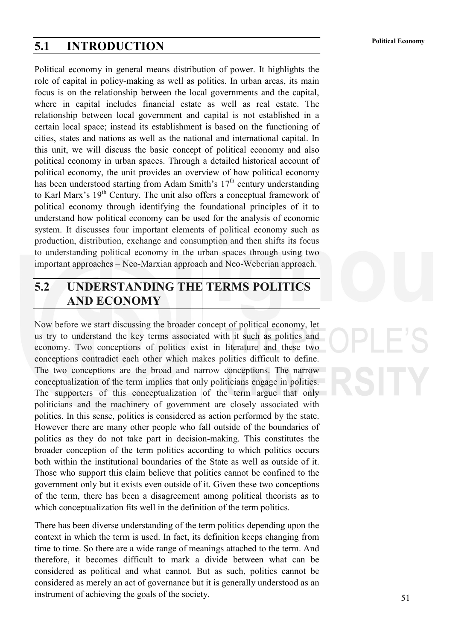# **5.1 INTRODUCTION**

Political economy in general means distribution of power. It highlights the role of capital in policy-making as well as politics. In urban areas, its main focus is on the relationship between the local governments and the capital, where in capital includes financial estate as well as real estate. The relationship between local government and capital is not established in a certain local space; instead its establishment is based on the functioning of cities, states and nations as well as the national and international capital. In this unit, we will discuss the basic concept of political economy and also political economy in urban spaces. Through a detailed historical account of political economy, the unit provides an overview of how political economy has been understood starting from Adam Smith's  $17<sup>th</sup>$  century understanding to Karl Marx's  $19<sup>th</sup>$  Century. The unit also offers a conceptual framework of political economy through identifying the foundational principles of it to understand how political economy can be used for the analysis of economic system. It discusses four important elements of political economy such as production, distribution, exchange and consumption and then shifts its focus to understanding political economy in the urban spaces through using two important approaches – Neo-Marxian approach and Neo-Weberian approach.

# **5.2 UNDERSTANDING THE TERMS POLITICS AND ECONOMY**

Now before we start discussing the broader concept of political economy, let us try to understand the key terms associated with it such as politics and economy. Two conceptions of politics exist in literature and these two conceptions contradict each other which makes politics difficult to define. The two conceptions are the broad and narrow conceptions. The narrow conceptualization of the term implies that only politicians engage in politics. The supporters of this conceptualization of the term argue that only politicians and the machinery of government are closely associated with politics. In this sense, politics is considered as action performed by the state. However there are many other people who fall outside of the boundaries of politics as they do not take part in decision-making. This constitutes the broader conception of the term politics according to which politics occurs both within the institutional boundaries of the State as well as outside of it. Those who support this claim believe that politics cannot be confined to the government only but it exists even outside of it. Given these two conceptions of the term, there has been a disagreement among political theorists as to which conceptualization fits well in the definition of the term politics.

There has been diverse understanding of the term politics depending upon the context in which the term is used. In fact, its definition keeps changing from time to time. So there are a wide range of meanings attached to the term. And therefore, it becomes difficult to mark a divide between what can be considered as political and what cannot. But as such, politics cannot be considered as merely an act of governance but it is generally understood as an instrument of achieving the goals of the society.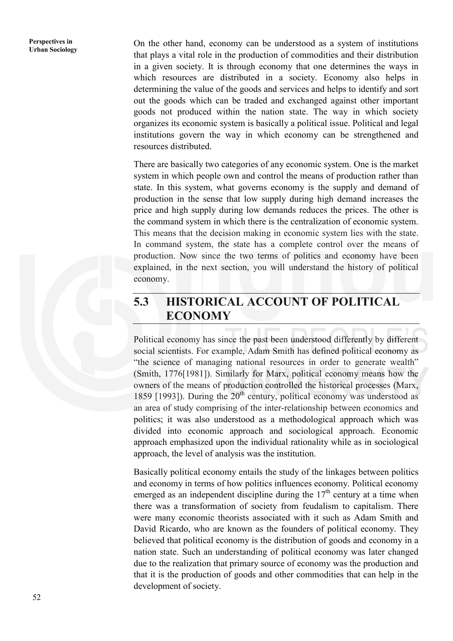On the other hand, economy can be understood as a system of institutions that plays a vital role in the production of commodities and their distribution in a given society. It is through economy that one determines the ways in which resources are distributed in a society. Economy also helps in determining the value of the goods and services and helps to identify and sort out the goods which can be traded and exchanged against other important goods not produced within the nation state. The way in which society organizes its economic system is basically a political issue. Political and legal institutions govern the way in which economy can be strengthened and resources distributed.

There are basically two categories of any economic system. One is the market system in which people own and control the means of production rather than state. In this system, what governs economy is the supply and demand of production in the sense that low supply during high demand increases the price and high supply during low demands reduces the prices. The other is the command system in which there is the centralization of economic system. This means that the decision making in economic system lies with the state. In command system, the state has a complete control over the means of production. Now since the two terms of politics and economy have been explained, in the next section, you will understand the history of political economy.

# **5.3 HISTORICAL ACCOUNT OF POLITICAL ECONOMY**

Political economy has since the past been understood differently by different social scientists. For example, Adam Smith has defined political economy as "the science of managing national resources in order to generate wealth" (Smith, 1776[1981]). Similarly for Marx, political economy means how the owners of the means of production controlled the historical processes (Marx, 1859 [1993]). During the  $20<sup>th</sup>$  century, political economy was understood as an area of study comprising of the inter-relationship between economics and politics; it was also understood as a methodological approach which was divided into economic approach and sociological approach. Economic approach emphasized upon the individual rationality while as in sociological approach, the level of analysis was the institution.

Basically political economy entails the study of the linkages between politics and economy in terms of how politics influences economy. Political economy emerged as an independent discipline during the  $17<sup>th</sup>$  century at a time when there was a transformation of society from feudalism to capitalism. There were many economic theorists associated with it such as Adam Smith and David Ricardo, who are known as the founders of political economy. They believed that political economy is the distribution of goods and economy in a nation state. Such an understanding of political economy was later changed due to the realization that primary source of economy was the production and that it is the production of goods and other commodities that can help in the development of society.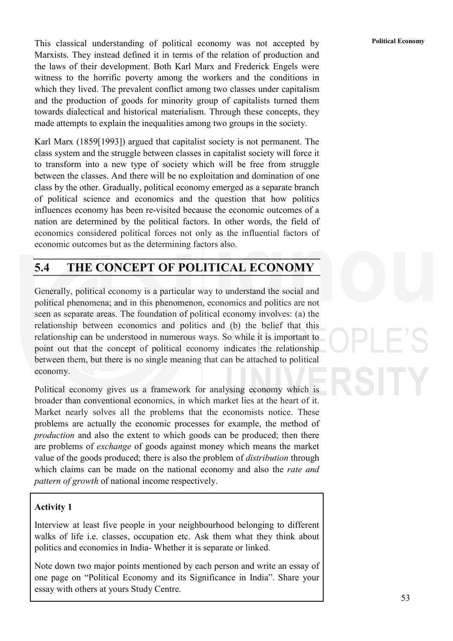This classical understanding of political economy was not accepted by Marxists. They instead defined it in terms of the relation of production and the laws of their development. Both Karl Marx and Frederick Engels were witness to the horrific poverty among the workers and the conditions in which they lived. The prevalent conflict among two classes under capitalism and the production of goods for minority group of capitalists turned them towards dialectical and historical materialism. Through these concepts, they made attempts to explain the inequalities among two groups in the society.

Karl Marx (1859[1993]) argued that capitalist society is not permanent. The class system and the struggle between classes in capitalist society will force it to transform into a new type of society which will be free from struggle between the classes. And there will be no exploitation and domination of one class by the other. Gradually, political economy emerged as a separate branch of political science and economics and the question that how politics influences economy has been re-visited because the economic outcomes of a nation are determined by the political factors. In other words, the field of economics considered political forces not only as the influential factors of economic outcomes but as the determining factors also.

# **5.4 THE CONCEPT OF POLITICAL ECONOMY**

Generally, political economy is a particular way to understand the social and political phenomena; and in this phenomenon, economics and politics are not seen as separate areas. The foundation of political economy involves: (a) the relationship between economics and politics and (b) the belief that this relationship can be understood in numerous ways. So while it is important to point out that the concept of political economy indicates the relationship between them, but there is no single meaning that can be attached to political economy.

Political economy gives us a framework for analysing economy which is broader than conventional economics, in which market lies at the heart of it. Market nearly solves all the problems that the economists notice. These problems are actually the economic processes for example, the method of *production* and also the extent to which goods can be produced; then there are problems of *exchange* of goods against money which means the market value of the goods produced; there is also the problem of *distribution* through which claims can be made on the national economy and also the *rate and pattern of growth* of national income respectively.

#### **Activity 1**

Interview at least five people in your neighbourhood belonging to different walks of life i.e. classes, occupation etc. Ask them what they think about politics and economics in India- Whether it is separate or linked.

Note down two major points mentioned by each person and write an essay of one page on "Political Economy and its Significance in India". Share your essay with others at yours Study Centre.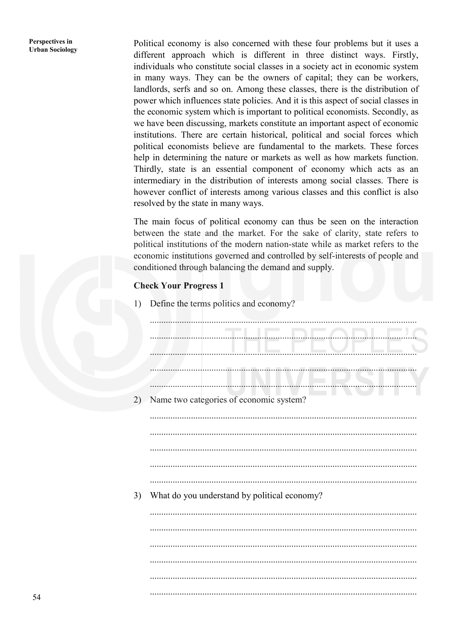Political economy is also concerned with these four problems but it uses a different approach which is different in three distinct ways. Firstly, individuals who constitute social classes in a society act in economic system in many ways. They can be the owners of capital; they can be workers, landlords, serfs and so on. Among these classes, there is the distribution of power which influences state policies. And it is this aspect of social classes in the economic system which is important to political economists. Secondly, as we have been discussing, markets constitute an important aspect of economic institutions. There are certain historical, political and social forces which political economists believe are fundamental to the markets. These forces help in determining the nature or markets as well as how markets function. Thirdly, state is an essential component of economy which acts as an intermediary in the distribution of interests among social classes. There is however conflict of interests among various classes and this conflict is also resolved by the state in many ways.

The main focus of political economy can thus be seen on the interaction between the state and the market. For the sake of clarity, state refers to political institutions of the modern nation-state while as market refers to the economic institutions governed and controlled by self-interests of people and conditioned through balancing the demand and supply.

#### **Check Your Progress 1**

| 1) |  |  |  |  |  | Define the terms politics and economy? |
|----|--|--|--|--|--|----------------------------------------|
|----|--|--|--|--|--|----------------------------------------|

 ..................................................................................................................... ..................................................................................................................... ..................................................................................................................... ..................................................................................................................... ..................................................................................................................... 2) Name two categories of economic system? ..................................................................................................................... ..................................................................................................................... ..................................................................................................................... ..................................................................................................................... 3) What do you understand by political economy? ..................................................................................................................... ..................................................................................................................... ..................................................................................................................... ..................................................................................................................... .....................................................................................................................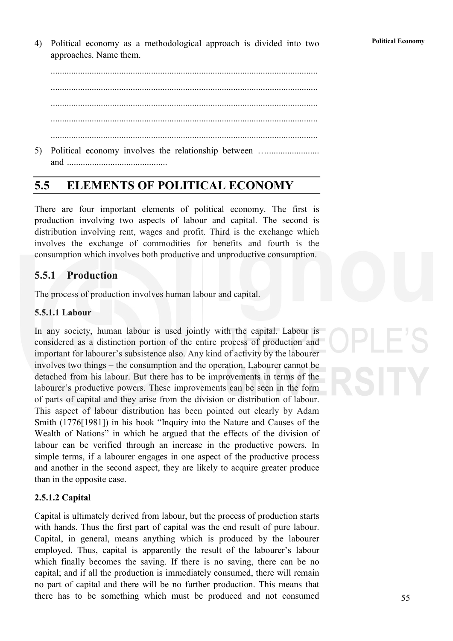4) Political economy as a methodological approach is divided into two approaches. Name them.



# **5.5 ELEMENTS OF POLITICAL ECONOMY**

There are four important elements of political economy. The first is production involving two aspects of labour and capital. The second is distribution involving rent, wages and profit. Third is the exchange which involves the exchange of commodities for benefits and fourth is the consumption which involves both productive and unproductive consumption.

#### **5.5.1 Production**

The process of production involves human labour and capital.

#### **5.5.1.1 Labour**

In any society, human labour is used jointly with the capital. Labour is considered as a distinction portion of the entire process of production and important for labourer's subsistence also. Any kind of activity by the labourer involves two things – the consumption and the operation. Labourer cannot be detached from his labour. But there has to be improvements in terms of the labourer's productive powers. These improvements can be seen in the form of parts of capital and they arise from the division or distribution of labour. This aspect of labour distribution has been pointed out clearly by Adam Smith (1776[1981]) in his book "Inquiry into the Nature and Causes of the Wealth of Nations" in which he argued that the effects of the division of labour can be verified through an increase in the productive powers. In simple terms, if a labourer engages in one aspect of the productive process and another in the second aspect, they are likely to acquire greater produce than in the opposite case.

#### **2.5.1.2 Capital**

Capital is ultimately derived from labour, but the process of production starts with hands. Thus the first part of capital was the end result of pure labour. Capital, in general, means anything which is produced by the labourer employed. Thus, capital is apparently the result of the labourer's labour which finally becomes the saving. If there is no saving, there can be no capital; and if all the production is immediately consumed, there will remain no part of capital and there will be no further production. This means that there has to be something which must be produced and not consumed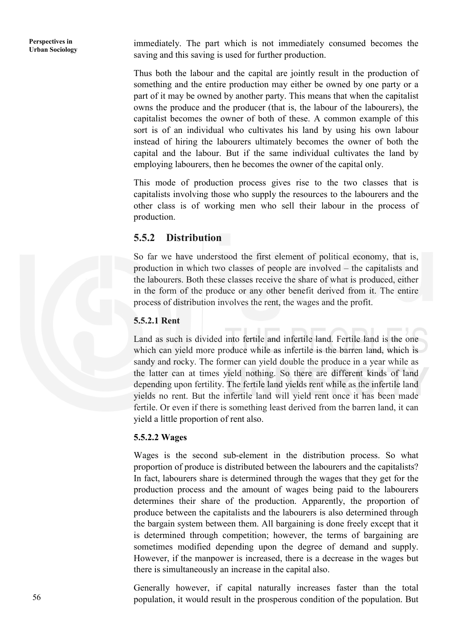immediately. The part which is not immediately consumed becomes the saving and this saving is used for further production.

Thus both the labour and the capital are jointly result in the production of something and the entire production may either be owned by one party or a part of it may be owned by another party. This means that when the capitalist owns the produce and the producer (that is, the labour of the labourers), the capitalist becomes the owner of both of these. A common example of this sort is of an individual who cultivates his land by using his own labour instead of hiring the labourers ultimately becomes the owner of both the capital and the labour. But if the same individual cultivates the land by employing labourers, then he becomes the owner of the capital only.

This mode of production process gives rise to the two classes that is capitalists involving those who supply the resources to the labourers and the other class is of working men who sell their labour in the process of production.

#### **5.5.2 Distribution**

So far we have understood the first element of political economy, that is, production in which two classes of people are involved – the capitalists and the labourers. Both these classes receive the share of what is produced, either in the form of the produce or any other benefit derived from it. The entire process of distribution involves the rent, the wages and the profit.

#### **5.5.2.1 Rent**

Land as such is divided into fertile and infertile land. Fertile land is the one which can yield more produce while as infertile is the barren land, which is sandy and rocky. The former can yield double the produce in a year while as the latter can at times yield nothing. So there are different kinds of land depending upon fertility. The fertile land yields rent while as the infertile land yields no rent. But the infertile land will yield rent once it has been made fertile. Or even if there is something least derived from the barren land, it can yield a little proportion of rent also.

#### **5.5.2.2 Wages**

Wages is the second sub-element in the distribution process. So what proportion of produce is distributed between the labourers and the capitalists? In fact, labourers share is determined through the wages that they get for the production process and the amount of wages being paid to the labourers determines their share of the production. Apparently, the proportion of produce between the capitalists and the labourers is also determined through the bargain system between them. All bargaining is done freely except that it is determined through competition; however, the terms of bargaining are sometimes modified depending upon the degree of demand and supply. However, if the manpower is increased, there is a decrease in the wages but there is simultaneously an increase in the capital also.

Generally however, if capital naturally increases faster than the total population, it would result in the prosperous condition of the population. But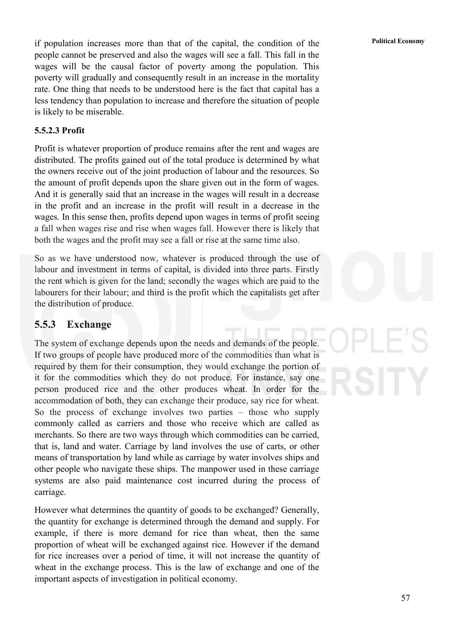**Political Economy**

if population increases more than that of the capital, the condition of the people cannot be preserved and also the wages will see a fall. This fall in the wages will be the causal factor of poverty among the population. This poverty will gradually and consequently result in an increase in the mortality rate. One thing that needs to be understood here is the fact that capital has a less tendency than population to increase and therefore the situation of people is likely to be miserable.

#### **5.5.2.3 Profit**

Profit is whatever proportion of produce remains after the rent and wages are distributed. The profits gained out of the total produce is determined by what the owners receive out of the joint production of labour and the resources. So the amount of profit depends upon the share given out in the form of wages. And it is generally said that an increase in the wages will result in a decrease in the profit and an increase in the profit will result in a decrease in the wages. In this sense then, profits depend upon wages in terms of profit seeing a fall when wages rise and rise when wages fall. However there is likely that both the wages and the profit may see a fall or rise at the same time also.

So as we have understood now, whatever is produced through the use of labour and investment in terms of capital, is divided into three parts. Firstly the rent which is given for the land; secondly the wages which are paid to the labourers for their labour; and third is the profit which the capitalists get after the distribution of produce.

### **5.5.3 Exchange**

The system of exchange depends upon the needs and demands of the people. If two groups of people have produced more of the commodities than what is required by them for their consumption, they would exchange the portion of it for the commodities which they do not produce. For instance, say one person produced rice and the other produces wheat. In order for the accommodation of both, they can exchange their produce, say rice for wheat. So the process of exchange involves two parties – those who supply commonly called as carriers and those who receive which are called as merchants. So there are two ways through which commodities can be carried, that is, land and water. Carriage by land involves the use of carts, or other means of transportation by land while as carriage by water involves ships and other people who navigate these ships. The manpower used in these carriage systems are also paid maintenance cost incurred during the process of carriage.

However what determines the quantity of goods to be exchanged? Generally, the quantity for exchange is determined through the demand and supply. For example, if there is more demand for rice than wheat, then the same proportion of wheat will be exchanged against rice. However if the demand for rice increases over a period of time, it will not increase the quantity of wheat in the exchange process. This is the law of exchange and one of the important aspects of investigation in political economy.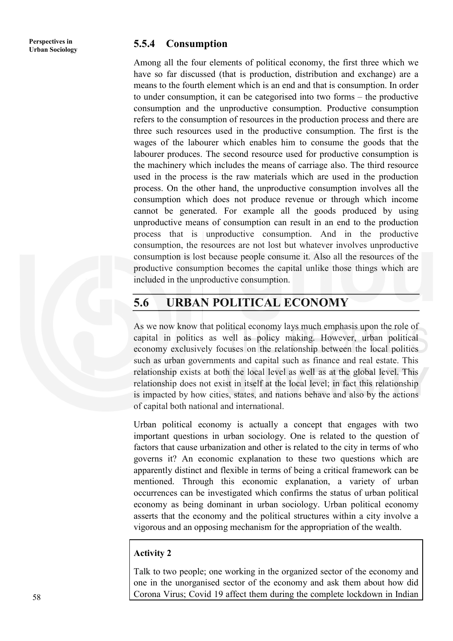#### **5.5.4 Consumption**

Among all the four elements of political economy, the first three which we have so far discussed (that is production, distribution and exchange) are a means to the fourth element which is an end and that is consumption. In order to under consumption, it can be categorised into two forms – the productive consumption and the unproductive consumption. Productive consumption refers to the consumption of resources in the production process and there are three such resources used in the productive consumption. The first is the wages of the labourer which enables him to consume the goods that the labourer produces. The second resource used for productive consumption is the machinery which includes the means of carriage also. The third resource used in the process is the raw materials which are used in the production process. On the other hand, the unproductive consumption involves all the consumption which does not produce revenue or through which income cannot be generated. For example all the goods produced by using unproductive means of consumption can result in an end to the production process that is unproductive consumption. And in the productive consumption, the resources are not lost but whatever involves unproductive consumption is lost because people consume it. Also all the resources of the productive consumption becomes the capital unlike those things which are included in the unproductive consumption.

## **5.6 URBAN POLITICAL ECONOMY**

As we now know that political economy lays much emphasis upon the role of capital in politics as well as policy making. However, urban political economy exclusively focuses on the relationship between the local politics such as urban governments and capital such as finance and real estate. This relationship exists at both the local level as well as at the global level. This relationship does not exist in itself at the local level; in fact this relationship is impacted by how cities, states, and nations behave and also by the actions of capital both national and international.

Urban political economy is actually a concept that engages with two important questions in urban sociology. One is related to the question of factors that cause urbanization and other is related to the city in terms of who governs it? An economic explanation to these two questions which are apparently distinct and flexible in terms of being a critical framework can be mentioned. Through this economic explanation, a variety of urban occurrences can be investigated which confirms the status of urban political economy as being dominant in urban sociology. Urban political economy asserts that the economy and the political structures within a city involve a vigorous and an opposing mechanism for the appropriation of the wealth.

#### **Activity 2**

Talk to two people; one working in the organized sector of the economy and one in the unorganised sector of the economy and ask them about how did Corona Virus; Covid 19 affect them during the complete lockdown in Indian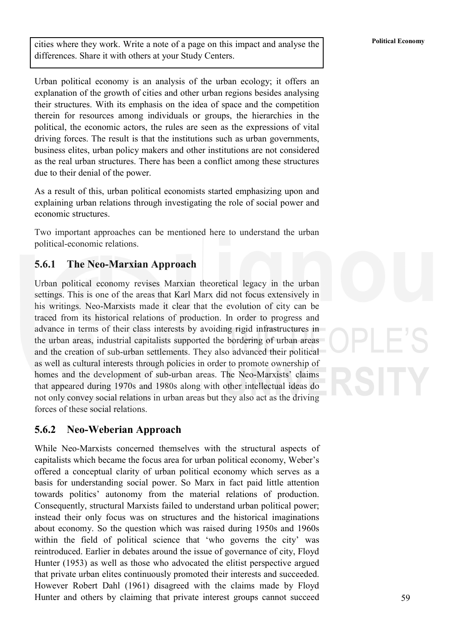cities where they work. Write a note of a page on this impact and analyse the differences. Share it with others at your Study Centers.

Urban political economy is an analysis of the urban ecology; it offers an explanation of the growth of cities and other urban regions besides analysing their structures. With its emphasis on the idea of space and the competition therein for resources among individuals or groups, the hierarchies in the political, the economic actors, the rules are seen as the expressions of vital driving forces. The result is that the institutions such as urban governments, business elites, urban policy makers and other institutions are not considered as the real urban structures. There has been a conflict among these structures due to their denial of the power.

As a result of this, urban political economists started emphasizing upon and explaining urban relations through investigating the role of social power and economic structures.

Two important approaches can be mentioned here to understand the urban political-economic relations.

# **5.6.1 The Neo-Marxian Approach**

Urban political economy revises Marxian theoretical legacy in the urban settings. This is one of the areas that Karl Marx did not focus extensively in his writings. Neo-Marxists made it clear that the evolution of city can be traced from its historical relations of production. In order to progress and advance in terms of their class interests by avoiding rigid infrastructures in the urban areas, industrial capitalists supported the bordering of urban areas and the creation of sub-urban settlements. They also advanced their political as well as cultural interests through policies in order to promote ownership of homes and the development of sub-urban areas. The Neo-Marxists' claims that appeared during 1970s and 1980s along with other intellectual ideas do not only convey social relations in urban areas but they also act as the driving forces of these social relations.

#### **5.6.2 Neo-Weberian Approach**

While Neo-Marxists concerned themselves with the structural aspects of capitalists which became the focus area for urban political economy, Weber's offered a conceptual clarity of urban political economy which serves as a basis for understanding social power. So Marx in fact paid little attention towards politics' autonomy from the material relations of production. Consequently, structural Marxists failed to understand urban political power; instead their only focus was on structures and the historical imaginations about economy. So the question which was raised during 1950s and 1960s within the field of political science that 'who governs the city' was reintroduced. Earlier in debates around the issue of governance of city, Floyd Hunter (1953) as well as those who advocated the elitist perspective argued that private urban elites continuously promoted their interests and succeeded. However Robert Dahl (1961) disagreed with the claims made by Floyd Hunter and others by claiming that private interest groups cannot succeed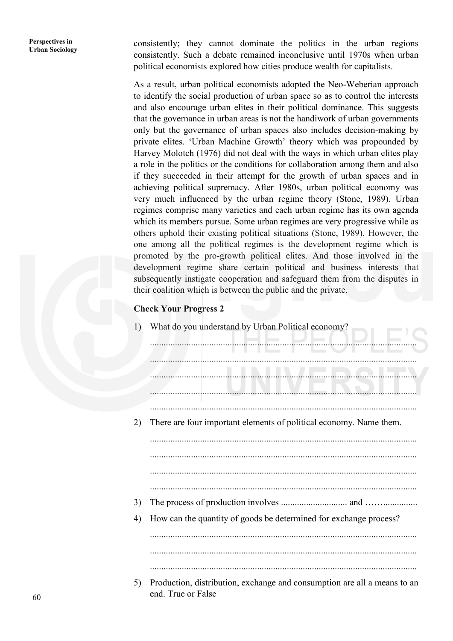consistently; they cannot dominate the politics in the urban regions consistently. Such a debate remained inconclusive until 1970s when urban political economists explored how cities produce wealth for capitalists.

As a result, urban political economists adopted the Neo-Weberian approach to identify the social production of urban space so as to control the interests and also encourage urban elites in their political dominance. This suggests that the governance in urban areas is not the handiwork of urban governments only but the governance of urban spaces also includes decision-making by private elites. 'Urban Machine Growth' theory which was propounded by Harvey Molotch (1976) did not deal with the ways in which urban elites play a role in the politics or the conditions for collaboration among them and also if they succeeded in their attempt for the growth of urban spaces and in achieving political supremacy. After 1980s, urban political economy was very much influenced by the urban regime theory (Stone, 1989). Urban regimes comprise many varieties and each urban regime has its own agenda which its members pursue. Some urban regimes are very progressive while as others uphold their existing political situations (Stone, 1989). However, the one among all the political regimes is the development regime which is promoted by the pro-growth political elites. And those involved in the development regime share certain political and business interests that subsequently instigate cooperation and safeguard them from the disputes in their coalition which is between the public and the private.

#### **Check Your Progress 2**

| 1) | What do you understand by Urban Political economy?                                             |
|----|------------------------------------------------------------------------------------------------|
|    |                                                                                                |
|    |                                                                                                |
| 2) | There are four important elements of political economy. Name them.                             |
|    |                                                                                                |
|    |                                                                                                |
|    |                                                                                                |
| 3) |                                                                                                |
| 4) | How can the quantity of goods be determined for exchange process?                              |
|    |                                                                                                |
|    |                                                                                                |
| 5) | Production, distribution, exchange and consumption are all a means to an<br>end. True or False |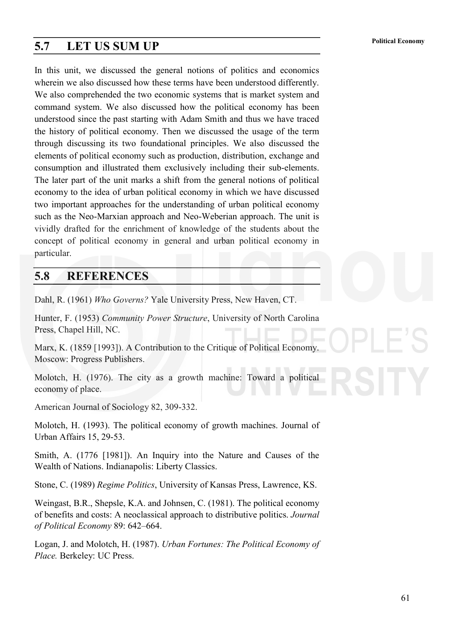# **5.7 LET US SUM UP**

In this unit, we discussed the general notions of politics and economics wherein we also discussed how these terms have been understood differently. We also comprehended the two economic systems that is market system and command system. We also discussed how the political economy has been understood since the past starting with Adam Smith and thus we have traced the history of political economy. Then we discussed the usage of the term through discussing its two foundational principles. We also discussed the elements of political economy such as production, distribution, exchange and consumption and illustrated them exclusively including their sub-elements. The later part of the unit marks a shift from the general notions of political economy to the idea of urban political economy in which we have discussed two important approaches for the understanding of urban political economy such as the Neo-Marxian approach and Neo-Weberian approach. The unit is vividly drafted for the enrichment of knowledge of the students about the concept of political economy in general and urban political economy in particular.

# **5.8 REFERENCES**

Dahl, R. (1961) *Who Governs?* Yale University Press, New Haven, CT.

Hunter, F. (1953) *Community Power Structure*, University of North Carolina Press, Chapel Hill, NC.

Marx, K. (1859 [1993]). A Contribution to the Critique of Political Economy. Moscow: Progress Publishers.

Molotch, H. (1976). The city as a growth machine: Toward a political economy of place.

American Journal of Sociology 82, 309-332.

Molotch, H. (1993). The political economy of growth machines. Journal of Urban Affairs 15, 29-53.

Smith, A. (1776 [1981]). An Inquiry into the Nature and Causes of the Wealth of Nations. Indianapolis: Liberty Classics.

Stone, C. (1989) *Regime Politics*, University of Kansas Press, Lawrence, KS.

Weingast, B.R., Shepsle, K.A. and Johnsen, C. (1981). The political economy of benefits and costs: A neoclassical approach to distributive politics. *Journal of Political Economy* 89: 642–664.

Logan, J. and Molotch, H. (1987). *Urban Fortunes: The Political Economy of Place.* Berkeley: UC Press.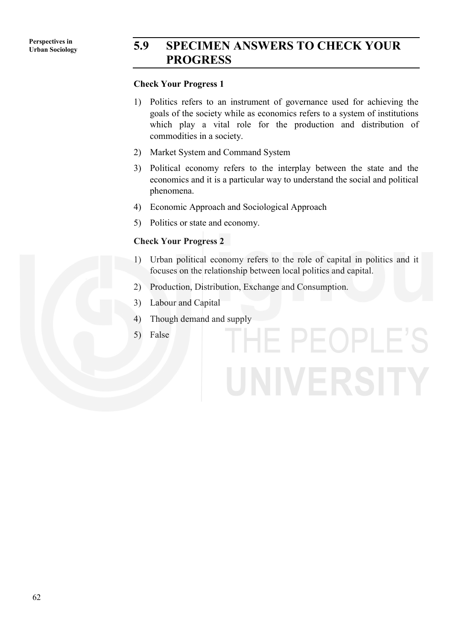# **5.9 SPECIMEN ANSWERS TO CHECK YOUR PROGRESS**

#### **Check Your Progress 1**

- 1) Politics refers to an instrument of governance used for achieving the goals of the society while as economics refers to a system of institutions which play a vital role for the production and distribution of commodities in a society.
- 2) Market System and Command System
- 3) Political economy refers to the interplay between the state and the economics and it is a particular way to understand the social and political phenomena.
- 4) Economic Approach and Sociological Approach
- 5) Politics or state and economy.

#### **Check Your Progress 2**

1) Urban political economy refers to the role of capital in politics and it focuses on the relationship between local politics and capital.

HE PEOPLE'S

- 2) Production, Distribution, Exchange and Consumption.
- 3) Labour and Capital
- 4) Though demand and supply
- 5) False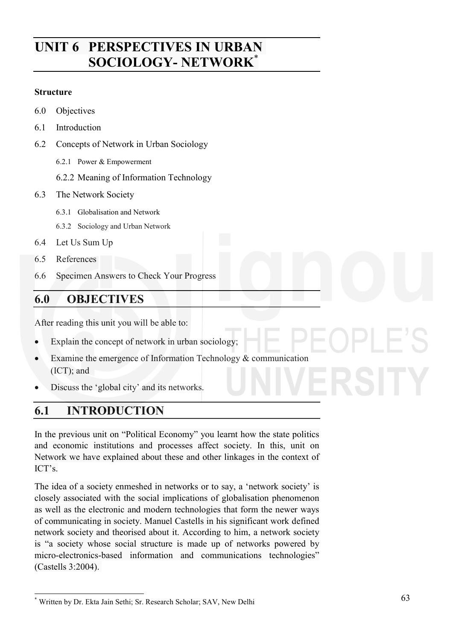# **UNIT 6 PERSPECTIVES IN URBAN SOCIOLOGY- NETWORK**\*

#### **Structure**

- 6.0 Objectives
- 6.1 Introduction
- 6.2 Concepts of Network in Urban Sociology
	- 6.2.1 Power & Empowerment
	- 6.2.2 Meaning of Information Technology
- 6.3 The Network Society
	- 6.3.1 Globalisation and Network
	- 6.3.2 Sociology and Urban Network
- 6.4 Let Us Sum Up
- 6.5 References
- 6.6 Specimen Answers to Check Your Progress

# **6.0 OBJECTIVES**

After reading this unit you will be able to:

- Explain the concept of network in urban sociology;
- Examine the emergence of Information Technology & communication (ICT); and
- Discuss the 'global city' and its networks.

# **6.1 INTRODUCTION**

In the previous unit on "Political Economy" you learnt how the state politics and economic institutions and processes affect society. In this, unit on Network we have explained about these and other linkages in the context of ICT's.

The idea of a society enmeshed in networks or to say, a 'network society' is closely associated with the social implications of globalisation phenomenon as well as the electronic and modern technologies that form the newer ways of communicating in society. Manuel Castells in his significant work defined network society and theorised about it. According to him, a network society is "a society whose social structure is made up of networks powered by micro-electronics-based information and communications technologies" (Castells 3:2004).

 \* Written by Dr. Ekta Jain Sethi; Sr. Research Scholar; SAV, New Delhi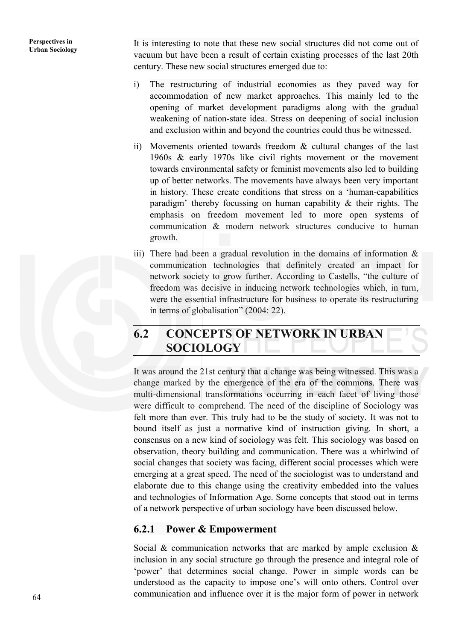It is interesting to note that these new social structures did not come out of vacuum but have been a result of certain existing processes of the last 20th century. These new social structures emerged due to:

- i) The restructuring of industrial economies as they paved way for accommodation of new market approaches. This mainly led to the opening of market development paradigms along with the gradual weakening of nation-state idea. Stress on deepening of social inclusion and exclusion within and beyond the countries could thus be witnessed.
- ii) Movements oriented towards freedom & cultural changes of the last 1960s & early 1970s like civil rights movement or the movement towards environmental safety or feminist movements also led to building up of better networks. The movements have always been very important in history. These create conditions that stress on a 'human-capabilities paradigm' thereby focussing on human capability & their rights. The emphasis on freedom movement led to more open systems of communication & modern network structures conducive to human growth.
- iii) There had been a gradual revolution in the domains of information  $\&$ communication technologies that definitely created an impact for network society to grow further. According to Castells, "the culture of freedom was decisive in inducing network technologies which, in turn, were the essential infrastructure for business to operate its restructuring in terms of globalisation" (2004: 22).

# **6.2 CONCEPTS OF NETWORK IN URBAN SOCIOLOGY**

It was around the 21st century that a change was being witnessed. This was a change marked by the emergence of the era of the commons. There was multi-dimensional transformations occurring in each facet of living those were difficult to comprehend. The need of the discipline of Sociology was felt more than ever. This truly had to be the study of society. It was not to bound itself as just a normative kind of instruction giving. In short, a consensus on a new kind of sociology was felt. This sociology was based on observation, theory building and communication. There was a whirlwind of social changes that society was facing, different social processes which were emerging at a great speed. The need of the sociologist was to understand and elaborate due to this change using the creativity embedded into the values and technologies of Information Age. Some concepts that stood out in terms of a network perspective of urban sociology have been discussed below.

#### **6.2.1 Power & Empowerment**

Social & communication networks that are marked by ample exclusion & inclusion in any social structure go through the presence and integral role of 'power' that determines social change. Power in simple words can be understood as the capacity to impose one's will onto others. Control over communication and influence over it is the major form of power in network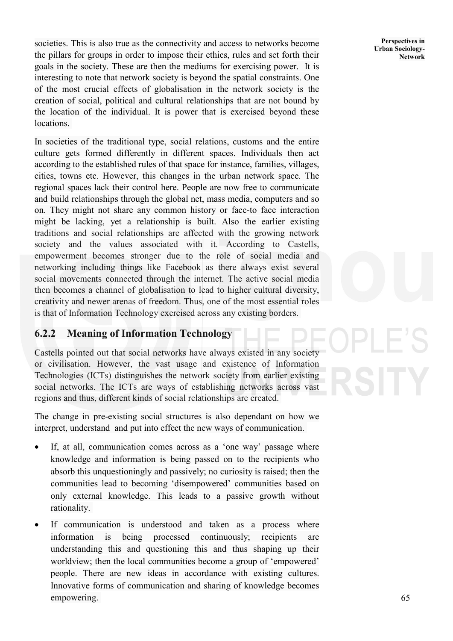societies. This is also true as the connectivity and access to networks become the pillars for groups in order to impose their ethics, rules and set forth their goals in the society. These are then the mediums for exercising power. It is interesting to note that network society is beyond the spatial constraints. One of the most crucial effects of globalisation in the network society is the creation of social, political and cultural relationships that are not bound by the location of the individual. It is power that is exercised beyond these locations.

In societies of the traditional type, social relations, customs and the entire culture gets formed differently in different spaces. Individuals then act according to the established rules of that space for instance, families, villages, cities, towns etc. However, this changes in the urban network space. The regional spaces lack their control here. People are now free to communicate and build relationships through the global net, mass media, computers and so on. They might not share any common history or face-to face interaction might be lacking, yet a relationship is built. Also the earlier existing traditions and social relationships are affected with the growing network society and the values associated with it. According to Castells, empowerment becomes stronger due to the role of social media and networking including things like Facebook as there always exist several social movements connected through the internet. The active social media then becomes a channel of globalisation to lead to higher cultural diversity, creativity and newer arenas of freedom. Thus, one of the most essential roles is that of Information Technology exercised across any existing borders.

#### **6.2.2 Meaning of Information Technology**

Castells pointed out that social networks have always existed in any society or civilisation. However, the vast usage and existence of Information Technologies (ICTs) distinguishes the network society from earlier existing social networks. The ICTs are ways of establishing networks across vast regions and thus, different kinds of social relationships are created.

The change in pre-existing social structures is also dependant on how we interpret, understand and put into effect the new ways of communication.

- If, at all, communication comes across as a 'one way' passage where knowledge and information is being passed on to the recipients who absorb this unquestioningly and passively; no curiosity is raised; then the communities lead to becoming 'disempowered' communities based on only external knowledge. This leads to a passive growth without rationality.
- If communication is understood and taken as a process where information is being processed continuously; recipients are understanding this and questioning this and thus shaping up their worldview; then the local communities become a group of 'empowered' people. There are new ideas in accordance with existing cultures. Innovative forms of communication and sharing of knowledge becomes empowering.

**Perspectives in Urban Sociology-Network**

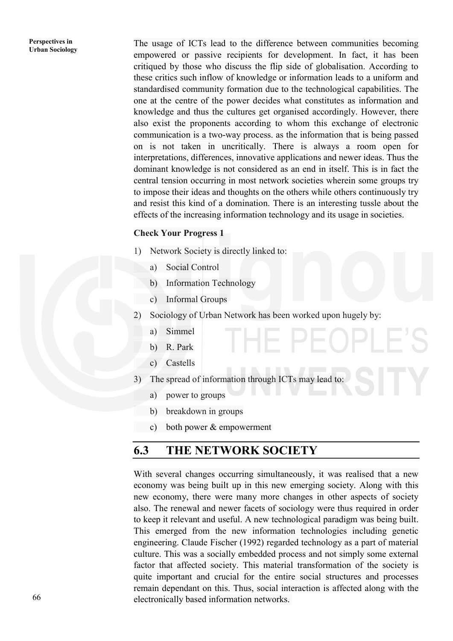The usage of ICTs lead to the difference between communities becoming empowered or passive recipients for development. In fact, it has been critiqued by those who discuss the flip side of globalisation. According to these critics such inflow of knowledge or information leads to a uniform and standardised community formation due to the technological capabilities. The one at the centre of the power decides what constitutes as information and knowledge and thus the cultures get organised accordingly. However, there also exist the proponents according to whom this exchange of electronic communication is a two-way process. as the information that is being passed on is not taken in uncritically. There is always a room open for interpretations, differences, innovative applications and newer ideas. Thus the dominant knowledge is not considered as an end in itself. This is in fact the central tension occurring in most network societies wherein some groups try to impose their ideas and thoughts on the others while others continuously try and resist this kind of a domination. There is an interesting tussle about the effects of the increasing information technology and its usage in societies.

#### **Check Your Progress 1**

- 1) Network Society is directly linked to:
	- a) Social Control
	- b) Information Technology
	- c) Informal Groups
- 2) Sociology of Urban Network has been worked upon hugely by:

HE PEO

- a) Simmel
- b) R. Park
- c) Castells
- 3) The spread of information through ICTs may lead to:
	- a) power to groups
	- b) breakdown in groups
	- c) both power & empowerment

# **6.3 THE NETWORK SOCIETY**

With several changes occurring simultaneously, it was realised that a new economy was being built up in this new emerging society. Along with this new economy, there were many more changes in other aspects of society also. The renewal and newer facets of sociology were thus required in order to keep it relevant and useful. A new technological paradigm was being built. This emerged from the new information technologies including genetic engineering. Claude Fischer (1992) regarded technology as a part of material culture. This was a socially embedded process and not simply some external factor that affected society. This material transformation of the society is quite important and crucial for the entire social structures and processes remain dependant on this. Thus, social interaction is affected along with the electronically based information networks.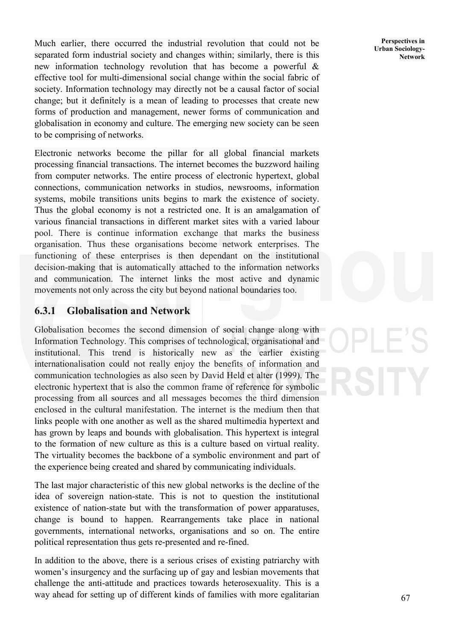Much earlier, there occurred the industrial revolution that could not be separated form industrial society and changes within; similarly, there is this new information technology revolution that has become a powerful  $\&$ effective tool for multi-dimensional social change within the social fabric of society. Information technology may directly not be a causal factor of social change; but it definitely is a mean of leading to processes that create new forms of production and management, newer forms of communication and globalisation in economy and culture. The emerging new society can be seen to be comprising of networks.

Electronic networks become the pillar for all global financial markets processing financial transactions. The internet becomes the buzzword hailing from computer networks. The entire process of electronic hypertext, global connections, communication networks in studios, newsrooms, information systems, mobile transitions units begins to mark the existence of society. Thus the global economy is not a restricted one. It is an amalgamation of various financial transactions in different market sites with a varied labour pool. There is continue information exchange that marks the business organisation. Thus these organisations become network enterprises. The functioning of these enterprises is then dependant on the institutional decision-making that is automatically attached to the information networks and communication. The internet links the most active and dynamic movements not only across the city but beyond national boundaries too.

#### **6.3.1 Globalisation and Network**

Globalisation becomes the second dimension of social change along with Information Technology. This comprises of technological, organisational and institutional. This trend is historically new as the earlier existing internationalisation could not really enjoy the benefits of information and communication technologies as also seen by David Held et alter (1999). The electronic hypertext that is also the common frame of reference for symbolic processing from all sources and all messages becomes the third dimension enclosed in the cultural manifestation. The internet is the medium then that links people with one another as well as the shared multimedia hypertext and has grown by leaps and bounds with globalisation. This hypertext is integral to the formation of new culture as this is a culture based on virtual reality. The virtuality becomes the backbone of a symbolic environment and part of the experience being created and shared by communicating individuals.

The last major characteristic of this new global networks is the decline of the idea of sovereign nation-state. This is not to question the institutional existence of nation-state but with the transformation of power apparatuses, change is bound to happen. Rearrangements take place in national governments, international networks, organisations and so on. The entire political representation thus gets re-presented and re-fined.

In addition to the above, there is a serious crises of existing patriarchy with women's insurgency and the surfacing up of gay and lesbian movements that challenge the anti-attitude and practices towards heterosexuality. This is a way ahead for setting up of different kinds of families with more egalitarian

**Perspectives in Urban Sociology-Network**

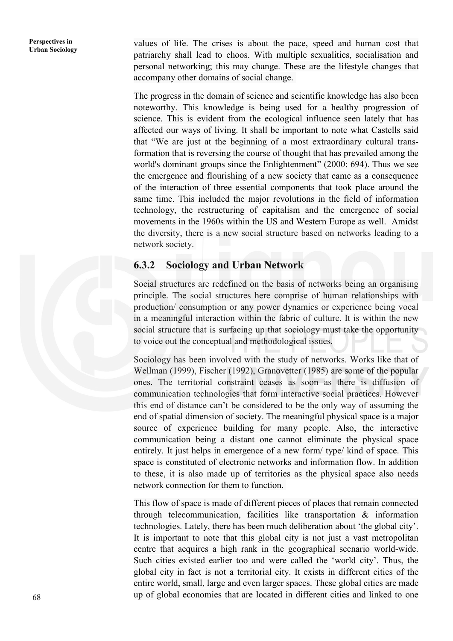values of life. The crises is about the pace, speed and human cost that patriarchy shall lead to choos. With multiple sexualities, socialisation and personal networking; this may change. These are the lifestyle changes that accompany other domains of social change.

The progress in the domain of science and scientific knowledge has also been noteworthy. This knowledge is being used for a healthy progression of science. This is evident from the ecological influence seen lately that has affected our ways of living. It shall be important to note what Castells said that "We are just at the beginning of a most extraordinary cultural transformation that is reversing the course of thought that has prevailed among the world's dominant groups since the Enlightenment" (2000: 694). Thus we see the emergence and flourishing of a new society that came as a consequence of the interaction of three essential components that took place around the same time. This included the major revolutions in the field of information technology, the restructuring of capitalism and the emergence of social movements in the 1960s within the US and Western Europe as well. Amidst the diversity, there is a new social structure based on networks leading to a network society.

#### **6.3.2 Sociology and Urban Network**

Social structures are redefined on the basis of networks being an organising principle. The social structures here comprise of human relationships with production/ consumption or any power dynamics or experience being vocal in a meaningful interaction within the fabric of culture. It is within the new social structure that is surfacing up that sociology must take the opportunity to voice out the conceptual and methodological issues.

Sociology has been involved with the study of networks. Works like that of Wellman (1999), Fischer (1992), Granovetter (1985) are some of the popular ones. The territorial constraint ceases as soon as there is diffusion of communication technologies that form interactive social practices. However this end of distance can't be considered to be the only way of assuming the end of spatial dimension of society. The meaningful physical space is a major source of experience building for many people. Also, the interactive communication being a distant one cannot eliminate the physical space entirely. It just helps in emergence of a new form/ type/ kind of space. This space is constituted of electronic networks and information flow. In addition to these, it is also made up of territories as the physical space also needs network connection for them to function.

This flow of space is made of different pieces of places that remain connected through telecommunication, facilities like transportation & information technologies. Lately, there has been much deliberation about 'the global city'. It is important to note that this global city is not just a vast metropolitan centre that acquires a high rank in the geographical scenario world-wide. Such cities existed earlier too and were called the 'world city'. Thus, the global city in fact is not a territorial city. It exists in different cities of the entire world, small, large and even larger spaces. These global cities are made up of global economies that are located in different cities and linked to one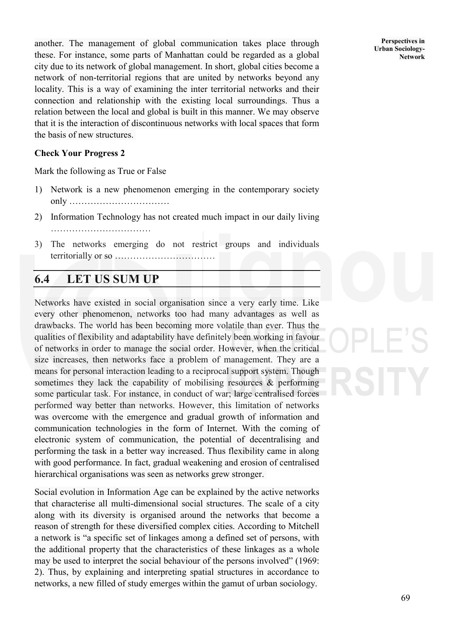another. The management of global communication takes place through these. For instance, some parts of Manhattan could be regarded as a global city due to its network of global management. In short, global cities become a network of non-territorial regions that are united by networks beyond any locality. This is a way of examining the inter territorial networks and their connection and relationship with the existing local surroundings. Thus a relation between the local and global is built in this manner. We may observe that it is the interaction of discontinuous networks with local spaces that form the basis of new structures.

#### **Check Your Progress 2**

Mark the following as True or False

- 1) Network is a new phenomenon emerging in the contemporary society only ……………………………
- 2) Information Technology has not created much impact in our daily living ……………………………
- 3) The networks emerging do not restrict groups and individuals territorially or so ……………………………

# **6.4 LET US SUM UP**

Networks have existed in social organisation since a very early time. Like every other phenomenon, networks too had many advantages as well as drawbacks. The world has been becoming more volatile than ever. Thus the qualities of flexibility and adaptability have definitely been working in favour of networks in order to manage the social order. However, when the critical size increases, then networks face a problem of management. They are a means for personal interaction leading to a reciprocal support system. Though sometimes they lack the capability of mobilising resources  $\&$  performing some particular task. For instance, in conduct of war; large centralised forces performed way better than networks. However, this limitation of networks was overcome with the emergence and gradual growth of information and communication technologies in the form of Internet. With the coming of electronic system of communication, the potential of decentralising and performing the task in a better way increased. Thus flexibility came in along with good performance. In fact, gradual weakening and erosion of centralised hierarchical organisations was seen as networks grew stronger.

Social evolution in Information Age can be explained by the active networks that characterise all multi-dimensional social structures. The scale of a city along with its diversity is organised around the networks that become a reason of strength for these diversified complex cities. According to Mitchell a network is "a specific set of linkages among a defined set of persons, with the additional property that the characteristics of these linkages as a whole may be used to interpret the social behaviour of the persons involved" (1969: 2). Thus, by explaining and interpreting spatial structures in accordance to networks, a new filled of study emerges within the gamut of urban sociology.

**Perspectives in Urban Sociology-Network**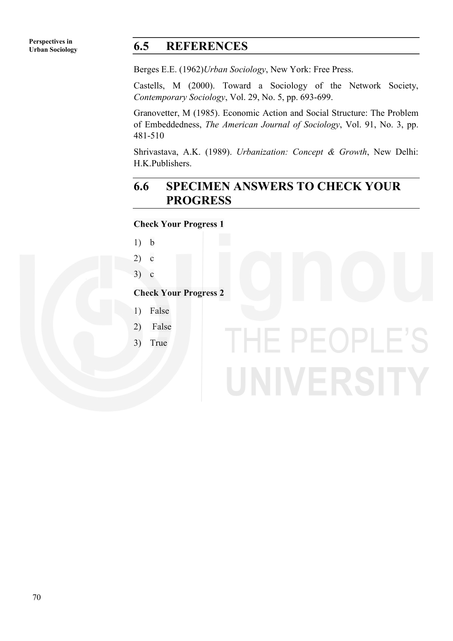## **6.5 REFERENCES**

Berges E.E. (1962)*Urban Sociology*, New York: Free Press.

Castells, M (2000). Toward a Sociology of the Network Society, *Contemporary Sociology*, Vol. 29, No. 5, pp. 693-699.

Granovetter, M (1985). Economic Action and Social Structure: The Problem of Embeddedness, *The American Journal of Sociology*, Vol. 91, No. 3, pp. 481-510

Shrivastava, A.K. (1989). *Urbanization: Concept & Growth*, New Delhi: H.K.Publishers.

# **6.6 SPECIMEN ANSWERS TO CHECK YOUR PROGRESS**

#### **Check Your Progress 1**

- 1) b
- 2) c
- 3) c

#### **Check Your Progress 2**

- 1) False
- 2) False
- 3) True

# HE PEOPLE'S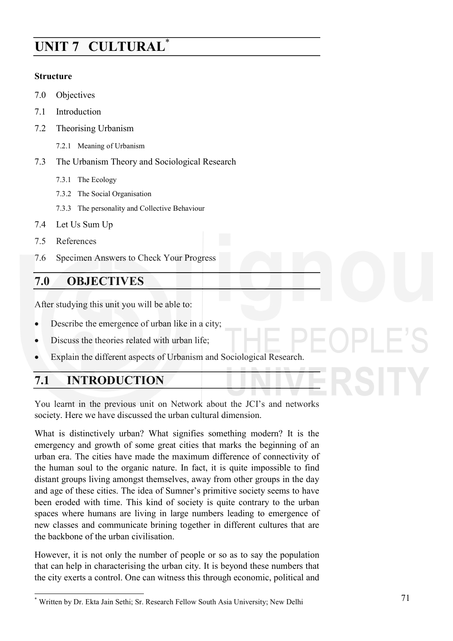# **UNIT 7 CULTURAL**\*

#### **Structure**

- 7.0 Objectives
- 7.1 Introduction
- 7.2 Theorising Urbanism
	- 7.2.1 Meaning of Urbanism
- 7.3 The Urbanism Theory and Sociological Research
	- 7.3.1 The Ecology
	- 7.3.2 The Social Organisation
	- 7.3.3 The personality and Collective Behaviour
- 7.4 Let Us Sum Up
- 7.5 References
- 7.6 Specimen Answers to Check Your Progress

# **7.0 OBJECTIVES**

After studying this unit you will be able to:

- Describe the emergence of urban like in a city;
- Discuss the theories related with urban life;
- Explain the different aspects of Urbanism and Sociological Research.

# **7.1 INTRODUCTION**

You learnt in the previous unit on Network about the JCI's and networks society. Here we have discussed the urban cultural dimension.

What is distinctively urban? What signifies something modern? It is the emergency and growth of some great cities that marks the beginning of an urban era. The cities have made the maximum difference of connectivity of the human soul to the organic nature. In fact, it is quite impossible to find distant groups living amongst themselves, away from other groups in the day and age of these cities. The idea of Sumner's primitive society seems to have been eroded with time. This kind of society is quite contrary to the urban spaces where humans are living in large numbers leading to emergence of new classes and communicate brining together in different cultures that are the backbone of the urban civilisation.

However, it is not only the number of people or so as to say the population that can help in characterising the urban city. It is beyond these numbers that the city exerts a control. One can witness this through economic, political and

 $\overline{a}$ \* Written by Dr. Ekta Jain Sethi; Sr. Research Fellow South Asia University; New Delhi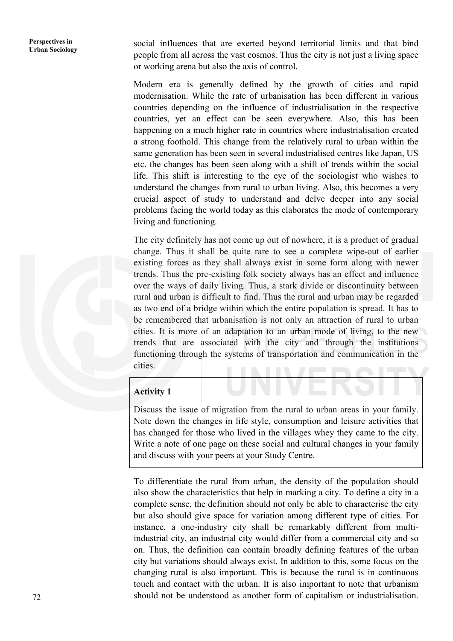social influences that are exerted beyond territorial limits and that bind people from all across the vast cosmos. Thus the city is not just a living space or working arena but also the axis of control.

Modern era is generally defined by the growth of cities and rapid modernisation. While the rate of urbanisation has been different in various countries depending on the influence of industrialisation in the respective countries, yet an effect can be seen everywhere. Also, this has been happening on a much higher rate in countries where industrialisation created a strong foothold. This change from the relatively rural to urban within the same generation has been seen in several industrialised centres like Japan, US etc. the changes has been seen along with a shift of trends within the social life. This shift is interesting to the eye of the sociologist who wishes to understand the changes from rural to urban living. Also, this becomes a very crucial aspect of study to understand and delve deeper into any social problems facing the world today as this elaborates the mode of contemporary living and functioning.

The city definitely has not come up out of nowhere, it is a product of gradual change. Thus it shall be quite rare to see a complete wipe-out of earlier existing forces as they shall always exist in some form along with newer trends. Thus the pre-existing folk society always has an effect and influence over the ways of daily living. Thus, a stark divide or discontinuity between rural and urban is difficult to find. Thus the rural and urban may be regarded as two end of a bridge within which the entire population is spread. It has to be remembered that urbanisation is not only an attraction of rural to urban cities. It is more of an adaptation to an urban mode of living, to the new trends that are associated with the city and through the institutions functioning through the systems of transportation and communication in the cities.

#### **Activity 1**

Discuss the issue of migration from the rural to urban areas in your family. Note down the changes in life style, consumption and leisure activities that has changed for those who lived in the villages whey they came to the city. Write a note of one page on these social and cultural changes in your family and discuss with your peers at your Study Centre.

To differentiate the rural from urban, the density of the population should also show the characteristics that help in marking a city. To define a city in a complete sense, the definition should not only be able to characterise the city but also should give space for variation among different type of cities. For instance, a one-industry city shall be remarkably different from multiindustrial city, an industrial city would differ from a commercial city and so on. Thus, the definition can contain broadly defining features of the urban city but variations should always exist. In addition to this, some focus on the changing rural is also important. This is because the rural is in continuous touch and contact with the urban. It is also important to note that urbanism should not be understood as another form of capitalism or industrialisation.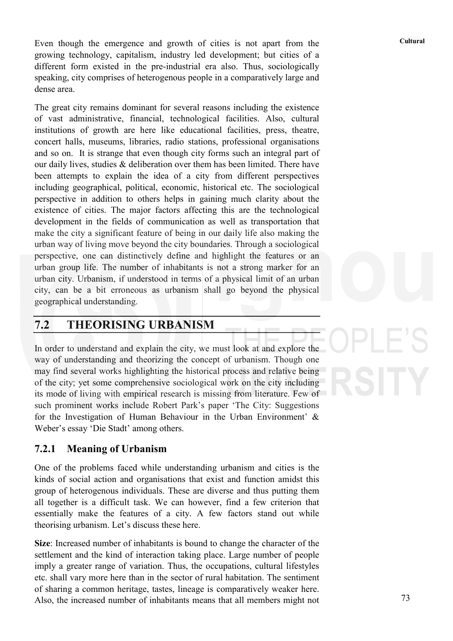Even though the emergence and growth of cities is not apart from the growing technology, capitalism, industry led development; but cities of a different form existed in the pre-industrial era also. Thus, sociologically speaking, city comprises of heterogenous people in a comparatively large and dense area.

The great city remains dominant for several reasons including the existence of vast administrative, financial, technological facilities. Also, cultural institutions of growth are here like educational facilities, press, theatre, concert halls, museums, libraries, radio stations, professional organisations and so on. It is strange that even though city forms such an integral part of our daily lives, studies  $\&$  deliberation over them has been limited. There have been attempts to explain the idea of a city from different perspectives including geographical, political, economic, historical etc. The sociological perspective in addition to others helps in gaining much clarity about the existence of cities. The major factors affecting this are the technological development in the fields of communication as well as transportation that make the city a significant feature of being in our daily life also making the urban way of living move beyond the city boundaries. Through a sociological perspective, one can distinctively define and highlight the features or an urban group life. The number of inhabitants is not a strong marker for an urban city. Urbanism, if understood in terms of a physical limit of an urban city, can be a bit erroneous as urbanism shall go beyond the physical geographical understanding.

## **7.2 THEORISING URBANISM**

In order to understand and explain the city, we must look at and explore the way of understanding and theorizing the concept of urbanism. Though one may find several works highlighting the historical process and relative being of the city; yet some comprehensive sociological work on the city including its mode of living with empirical research is missing from literature. Few of such prominent works include Robert Park's paper 'The City: Suggestions for the Investigation of Human Behaviour in the Urban Environment' & Weber's essay 'Die Stadt' among others.

#### **7.2.1 Meaning of Urbanism**

One of the problems faced while understanding urbanism and cities is the kinds of social action and organisations that exist and function amidst this group of heterogenous individuals. These are diverse and thus putting them all together is a difficult task. We can however, find a few criterion that essentially make the features of a city. A few factors stand out while theorising urbanism. Let's discuss these here.

**Size**: Increased number of inhabitants is bound to change the character of the settlement and the kind of interaction taking place. Large number of people imply a greater range of variation. Thus, the occupations, cultural lifestyles etc. shall vary more here than in the sector of rural habitation. The sentiment of sharing a common heritage, tastes, lineage is comparatively weaker here. Also, the increased number of inhabitants means that all members might not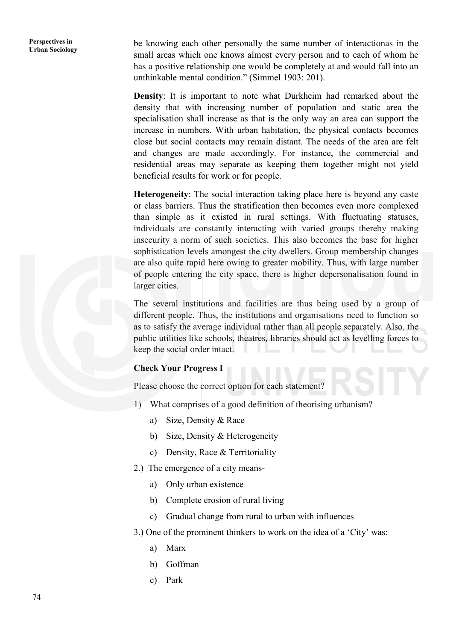be knowing each other personally the same number of interactionas in the small areas which one knows almost every person and to each of whom he has a positive relationship one would be completely at and would fall into an unthinkable mental condition." (Simmel 1903: 201).

**Density**: It is important to note what Durkheim had remarked about the density that with increasing number of population and static area the specialisation shall increase as that is the only way an area can support the increase in numbers. With urban habitation, the physical contacts becomes close but social contacts may remain distant. The needs of the area are felt and changes are made accordingly. For instance, the commercial and residential areas may separate as keeping them together might not yield beneficial results for work or for people.

**Heterogeneity**: The social interaction taking place here is beyond any caste or class barriers. Thus the stratification then becomes even more complexed than simple as it existed in rural settings. With fluctuating statuses, individuals are constantly interacting with varied groups thereby making insecurity a norm of such societies. This also becomes the base for higher sophistication levels amongest the city dwellers. Group membership changes are also quite rapid here owing to greater mobility. Thus, with large number of people entering the city space, there is higher depersonalisation found in larger cities.

The several institutions and facilities are thus being used by a group of different people. Thus, the institutions and organisations need to function so as to satisfy the average individual rather than all people separately. Also, the public utilities like schools, theatres, libraries should act as levelling forces to keep the social order intact.

#### **Check Your Progress I**

Please choose the correct option for each statement?

- 1) What comprises of a good definition of theorising urbanism?
	- a) Size, Density & Race
	- b) Size, Density & Heterogeneity
	- c) Density, Race & Territoriality
- 2.) The emergence of a city means
	- a) Only urban existence
	- b) Complete erosion of rural living
	- c) Gradual change from rural to urban with influences
- 3.) One of the prominent thinkers to work on the idea of a 'City' was:
	- a) Marx
	- b) Goffman
	- c) Park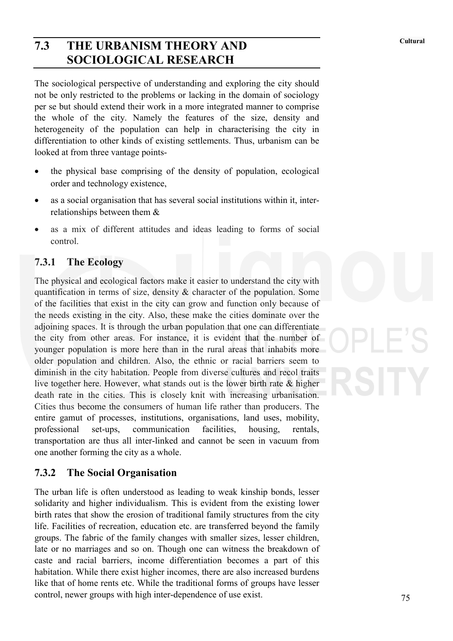# **7.3 THE URBANISM THEORY AND SOCIOLOGICAL RESEARCH**

The sociological perspective of understanding and exploring the city should not be only restricted to the problems or lacking in the domain of sociology per se but should extend their work in a more integrated manner to comprise the whole of the city. Namely the features of the size, density and heterogeneity of the population can help in characterising the city in differentiation to other kinds of existing settlements. Thus, urbanism can be looked at from three vantage points-

- the physical base comprising of the density of population, ecological order and technology existence,
- as a social organisation that has several social institutions within it, interrelationships between them &
- as a mix of different attitudes and ideas leading to forms of social control.

# **7.3.1 The Ecology**

The physical and ecological factors make it easier to understand the city with quantification in terms of size, density & character of the population. Some of the facilities that exist in the city can grow and function only because of the needs existing in the city. Also, these make the cities dominate over the adjoining spaces. It is through the urban population that one can differentiate the city from other areas. For instance, it is evident that the number of younger population is more here than in the rural areas that inhabits more older population and children. Also, the ethnic or racial barriers seem to diminish in the city habitation. People from diverse cultures and recol traits live together here. However, what stands out is the lower birth rate & higher death rate in the cities. This is closely knit with increasing urbanisation. Cities thus become the consumers of human life rather than producers. The entire gamut of processes, institutions, organisations, land uses, mobility, professional set-ups, communication facilities, housing, rentals, transportation are thus all inter-linked and cannot be seen in vacuum from one another forming the city as a whole.

# **7.3.2 The Social Organisation**

The urban life is often understood as leading to weak kinship bonds, lesser solidarity and higher individualism. This is evident from the existing lower birth rates that show the erosion of traditional family structures from the city life. Facilities of recreation, education etc. are transferred beyond the family groups. The fabric of the family changes with smaller sizes, lesser children, late or no marriages and so on. Though one can witness the breakdown of caste and racial barriers, income differentiation becomes a part of this habitation. While there exist higher incomes, there are also increased burdens like that of home rents etc. While the traditional forms of groups have lesser control, newer groups with high inter-dependence of use exist.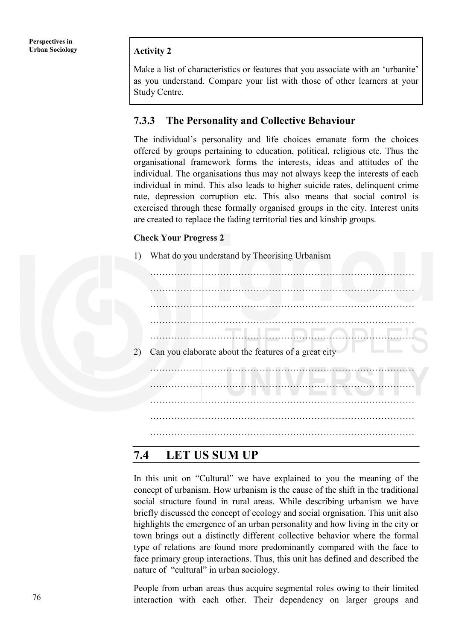#### **Activity 2**

Make a list of characteristics or features that you associate with an 'urbanite' as you understand. Compare your list with those of other learners at your Study Centre.

# **7.3.3 The Personality and Collective Behaviour**

The individual's personality and life choices emanate form the choices offered by groups pertaining to education, political, religious etc. Thus the organisational framework forms the interests, ideas and attitudes of the individual. The organisations thus may not always keep the interests of each individual in mind. This also leads to higher suicide rates, delinquent crime rate, depression corruption etc. This also means that social control is exercised through these formally organised groups in the city. Interest units are created to replace the fading territorial ties and kinship groups.

#### **Check Your Progress 2**



# **7.4 LET US SUM UP**

In this unit on "Cultural" we have explained to you the meaning of the concept of urbanism. How urbanism is the cause of the shift in the traditional social structure found in rural areas. While describing urbanism we have briefly discussed the concept of ecology and social orgnisation. This unit also highlights the emergence of an urban personality and how living in the city or town brings out a distinctly different collective behavior where the formal type of relations are found more predominantly compared with the face to face primary group interactions. Thus, this unit has defined and described the nature of "cultural" in urban sociology.

People from urban areas thus acquire segmental roles owing to their limited interaction with each other. Their dependency on larger groups and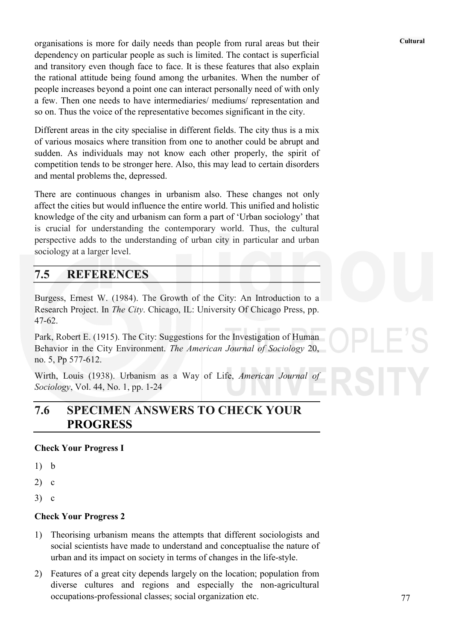organisations is more for daily needs than people from rural areas but their dependency on particular people as such is limited. The contact is superficial and transitory even though face to face. It is these features that also explain the rational attitude being found among the urbanites. When the number of people increases beyond a point one can interact personally need of with only a few. Then one needs to have intermediaries/ mediums/ representation and so on. Thus the voice of the representative becomes significant in the city.

Different areas in the city specialise in different fields. The city thus is a mix of various mosaics where transition from one to another could be abrupt and sudden. As individuals may not know each other properly, the spirit of competition tends to be stronger here. Also, this may lead to certain disorders and mental problems the, depressed.

There are continuous changes in urbanism also. These changes not only affect the cities but would influence the entire world. This unified and holistic knowledge of the city and urbanism can form a part of 'Urban sociology' that is crucial for understanding the contemporary world. Thus, the cultural perspective adds to the understanding of urban city in particular and urban sociology at a larger level.

# **7.5 REFERENCES**

Burgess, Ernest W. (1984). The Growth of the City: An Introduction to a Research Project. In *The City*. Chicago, IL: University Of Chicago Press, pp. 47-62.

Park, Robert E. (1915). The City: Suggestions for the Investigation of Human Behavior in the City Environment. *The American Journal of Sociology* 20, no. 5, Pp 577-612.

Wirth, Louis (1938). Urbanism as a Way of Life, *American Journal of Sociology*, Vol. 44, No. 1, pp. 1-24

# **7.6 SPECIMEN ANSWERS TO CHECK YOUR PROGRESS**

#### **Check Your Progress I**

- 1) b
- 2) c
- 3) c

#### **Check Your Progress 2**

- 1) Theorising urbanism means the attempts that different sociologists and social scientists have made to understand and conceptualise the nature of urban and its impact on society in terms of changes in the life-style.
- 2) Features of a great city depends largely on the location; population from diverse cultures and regions and especially the non-agricultural occupations-professional classes; social organization etc.

**Cultural**